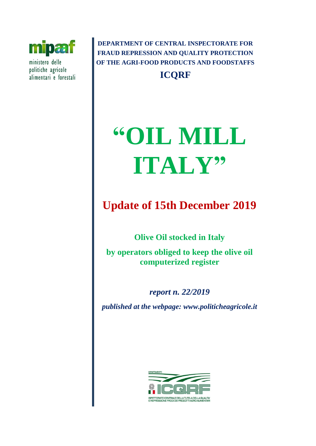

ministero delle politiche agricole alimentari e forestali

**DEPARTMENT OF CENTRAL INSPECTORATE FOR FRAUD REPRESSION AND QUALITY PROTECTION OF THE AGRI-FOOD PRODUCTS AND FOODSTAFFS ICQRF**

# **"OIL MILL ITALY"**

# **Update of 15th December 2019**

**Olive Oil stocked in Italy** 

**by operators obliged to keep the olive oil computerized register** 

*report n. 22/2019 published at the webpage: www.politicheagricole.it*

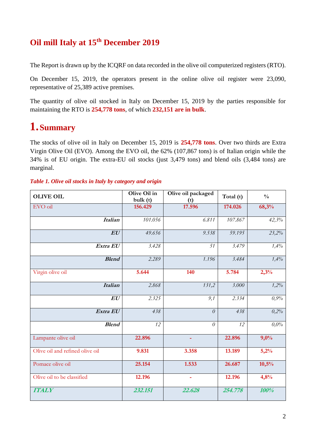## **Oil mill Italy at 15th December 2019**

The Report is drawn up by the ICQRF on data recorded in the olive oil computerized registers (RTO).

On December 15, 2019, the operators present in the online olive oil register were 23,090, representative of 25,389 active premises.

The quantity of olive oil stocked in Italy on December 15, 2019 by the parties responsible for maintaining the RTO is **254,778 tons**, of which **232,151 are in bulk**.

## **1.Summary**

The stocks of olive oil in Italy on December 15, 2019 is **254,778 tons**. Over two thirds are Extra Virgin Olive Oil (EVO). Among the EVO oil, the 62% (107,867 tons) is of Italian origin while the 34% is of EU origin. The extra-EU oil stocks (just 3,479 tons) and blend oils (3,484 tons) are marginal.

| <b>OLIVE OIL</b>                | Olive Oil in<br>bulk(t) | Olive oil packaged<br>(t) | Total (t) | $\frac{0}{0}$ |
|---------------------------------|-------------------------|---------------------------|-----------|---------------|
| EVO oil                         | 156.429                 | 17.596                    | 174.026   | 68,3%         |
| <b>Italian</b>                  | 101.056                 | 6.811                     | 107.867   | 42,3%         |
| EU                              | 49.656                  | 9.538                     | 59.195    | 23,2%         |
| Extra EU                        | 3.428                   | 51                        | 3.479     | 1,4%          |
| <b>Blend</b>                    | 2.289                   | 1.196                     | 3.484     | 1,4%          |
| Virgin olive oil                | 5.644                   | 140                       | 5.784     | 2,3%          |
| <b>Italian</b>                  | 2.868                   | 131,2                     | 3.000     | 1,2%          |
| EU                              | 2.325                   | 9,1                       | 2.334     | 0,9%          |
| Extra EU                        | 438                     | $\theta$                  | 438       | 0,2%          |
| <b>Blend</b>                    | 12                      | $\theta$                  | 12        | $0.0\%$       |
| Lampante olive oil              | 22.896                  | ٠                         | 22.896    | 9,0%          |
| Olive oil and refined olive oil | 9.831                   | 3.358                     | 13.189    | 5,2%          |
| Pomace olive oil                | 25.154                  | 1.533                     | 26.687    | 10,5%         |
| Olive oil to be classified      | 12.196                  | $\blacksquare$            | 12.196    | 4,8%          |
| <b>ITALY</b>                    | 232.151                 | 22.628                    | 254.778   | 100%          |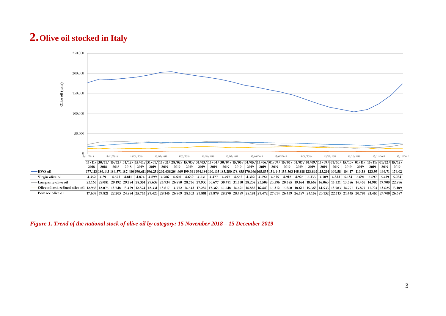## **2.Olive oil stocked in Italy**



#### *Figure 1. Trend of the national stock of olive oil by category: 15 November 2018 – 15 December 2019*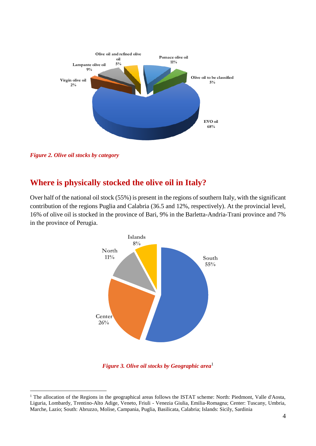

*Figure 2. Olive oil stocks by category*

1

### **Where is physically stocked the olive oil in Italy?**

Over half of the national oil stock (55%) is present in the regions of southern Italy, with the significant contribution of the regions Puglia and Calabria (36.5 and 12%, respectively). At the provincial level, 16% of olive oil is stocked in the province of Bari, 9% in the Barletta-Andria-Trani province and 7% in the province of Perugia.



*Figure* 3. Olive oil stocks by Geographic area<sup>1</sup>

<sup>&</sup>lt;sup>1</sup> The allocation of the Regions in the geographical areas follows the ISTAT scheme: North: Piedmont, Valle d'Aosta, Liguria, Lombardy, Trentino-Alto Adige, Veneto, Friuli - Venezia Giulia, Emilia-Romagna; Center: Tuscany, Umbria, Marche, Lazio; South: Abruzzo, Molise, Campania, Puglia, Basilicata, Calabria; Islands: Sicily, Sardinia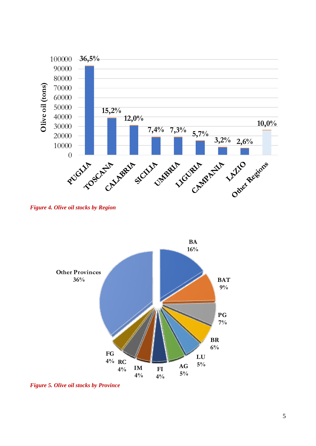

*Figure 4. Olive oil stocks by Region*



*Figure 5. Olive oil stocks by Province*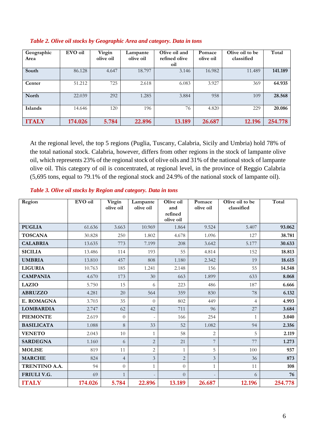| Geographic<br>Area | EVO oil | Virgin<br>olive oil | Lampante<br>olive oil | Olive oil and<br>refined olive<br>oil | Pomace<br>olive oil | Olive oil to be<br>classified | Total   |
|--------------------|---------|---------------------|-----------------------|---------------------------------------|---------------------|-------------------------------|---------|
| South              | 86.128  | 4.647               | 18.797                | 3.146                                 | 16.982              | 11.489                        | 141.189 |
| Center             | 51.212  | 725                 | 2.618                 | 6.083                                 | 3.927               | 369                           | 64.935  |
| North              | 22.039  | 292                 | 1.285                 | 3.884                                 | 958                 | 109                           | 28.568  |
| Islands            | 14.646  | 120                 | 196                   | 76                                    | 4.820               | 229                           | 20.086  |
| <b>ITALY</b>       | 174.026 | 5.784               | 22.896                | 13.189                                | 26.687              | 12.196                        | 254.778 |

#### *Table 2. Olive oil stocks by Geographic Area and category. Data in tons*

At the regional level, the top 5 regions (Puglia, Tuscany, Calabria, Sicily and Umbria) hold 78% of the total national stock. Calabria, however, differs from other regions in the stock of lampante olive oil, which represents 23% of the regional stock of olive oils and 31% of the national stock of lampante olive oil. This category of oil is concentrated, at regional level, in the province of Reggio Calabria (5,695 tons, equal to 79.1% of the regional stock and 24.9% of the national stock of lampante oil).

#### *Table 3. Olive oil stocks by Region and category. Data in tons*

| Region            | EVO oil | Virgin<br>olive oil | Lampante<br>olive oil    | Olive oil<br>and     | Pomace<br>olive oil | Olive oil to be<br>classified | Total   |
|-------------------|---------|---------------------|--------------------------|----------------------|---------------------|-------------------------------|---------|
|                   |         |                     |                          | refined<br>olive oil |                     |                               |         |
| <b>PUGLIA</b>     | 61.636  | 3.663               | 10.969                   | 1.864                | 9.524               | 5.407                         | 93.062  |
| <b>TOSCANA</b>    | 30.828  | 250                 | 1.802                    | 4.678                | 1.096               | 127                           | 38.781  |
| <b>CALABRIA</b>   | 13.635  | 773                 | 7.199                    | 208                  | 3.642               | 5.177                         | 30.633  |
| <b>SICILIA</b>    | 13.486  | 114                 | 193                      | 55                   | 4.814               | 152                           | 18.813  |
| <b>UMBRIA</b>     | 13.810  | 457                 | 808                      | 1.180                | 2.342               | 19                            | 18.615  |
| <b>LIGURIA</b>    | 10.763  | 185                 | 1.241                    | 2.148                | 156                 | 55                            | 14.548  |
| <b>CAMPANIA</b>   | 4.670   | 173                 | 30                       | 663                  | 1.899               | 633                           | 8.068   |
| <b>LAZIO</b>      | 5.750   | 15                  | 6                        | 223                  | 486                 | 187                           | 6.666   |
| <b>ABRUZZO</b>    | 4.281   | 20                  | 564                      | 359                  | 830                 | 78                            | 6.132   |
| E. ROMAGNA        | 3.703   | 35                  | $\theta$                 | 802                  | 449                 | $\overline{4}$                | 4.993   |
| <b>LOMBARDIA</b>  | 2.747   | 62                  | 42                       | 711                  | 96                  | 27                            | 3.684   |
| <b>PIEMONTE</b>   | 2.619   | $\theta$            | $\overline{\phantom{a}}$ | 166                  | 254                 | $\mathbf{1}$                  | 3.040   |
| <b>BASILICATA</b> | 1.088   | 8                   | 33                       | 52                   | 1.082               | 94                            | 2.356   |
| <b>VENETO</b>     | 2.043   | $10\,$              | 1                        | 58                   | $\mathbf{2}$        | 5                             | 2.119   |
| <b>SARDEGNA</b>   | 1.160   | 6                   | $\overline{2}$           | 21                   | $\overline{7}$      | 77                            | 1.273   |
| <b>MOLISE</b>     | 819     | 11                  | $\mathbf{2}$             | $\mathbf{1}$         | 5                   | 100                           | 937     |
| <b>MARCHE</b>     | 824     | $\overline{4}$      | 3                        | $\overline{2}$       | $\mathfrak{Z}$      | 36                            | 873     |
| TRENTINO A.A.     | 94      | $\overline{0}$      | $\mathbf{1}$             | $\overline{0}$       | $\mathbf{1}$        | 11                            | 108     |
| FRIULI V.G.       | 69      | $\mathbf{1}$        | $\overline{\phantom{a}}$ | $\overline{0}$       |                     | 6                             | 76      |
| <b>ITALY</b>      | 174.026 | 5.784               | 22.896                   | 13.189               | 26.687              | 12.196                        | 254.778 |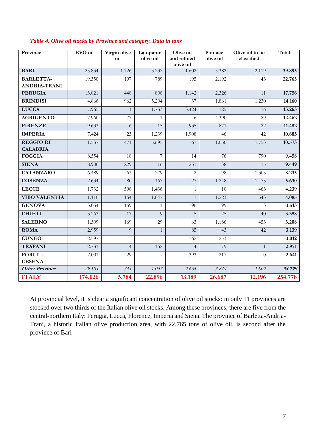| Province              | EVO oil | Virgin olive<br>oil | Lampante<br>olive oil | Olive oil<br>and refined | Pomace<br>olive oil | Olive oil to be<br>classified | Total   |
|-----------------------|---------|---------------------|-----------------------|--------------------------|---------------------|-------------------------------|---------|
|                       |         |                     |                       | olive oil                |                     |                               |         |
| <b>BARI</b>           | 25.834  | 1.726               | 3.232                 | 1.602                    | 5.382               | 2.119                         | 39.895  |
| <b>BARLETTA-</b>      | 19.350  | 197                 | 789                   | 195                      | 2.192               | 43                            | 22.765  |
| <b>ANDRIA-TRANI</b>   |         |                     |                       |                          |                     |                               |         |
| <b>PERUGIA</b>        | 13.021  | 448                 | 808                   | 1.142                    | 2.326               | 11                            | 17.756  |
| <b>BRINDISI</b>       | 4.866   | 962                 | 5.204                 | $\overline{37}$          | 1.861               | 1.230                         | 14.160  |
| <b>LUCCA</b>          | 7.965   | $\mathbf{1}$        | 1.733                 | 3.424                    | 125                 | 16                            | 13.263  |
| <b>AGRIGENTO</b>      | 7.960   | 77                  |                       | 6                        | 4.390               | 29                            | 12.462  |
| <b>FIRENZE</b>        | 9.633   | 6                   | 15                    | 935                      | 871                 | $\overline{22}$               | 11.482  |
| <b>IMPERIA</b>        | 7.424   | 23                  | 1.239                 | 1.908                    | 46                  | 42                            | 10.683  |
| <b>REGGIO DI</b>      | 1.537   | 471                 | 5.695                 | 67                       | 1.050               | 1.753                         | 10.573  |
| <b>CALABRIA</b>       |         |                     |                       |                          |                     |                               |         |
| <b>FOGGIA</b>         | 8.554   | 18                  | 7                     | 14                       | 76                  | 790                           | 9.458   |
| <b>SIENA</b>          | 8.900   | 229                 | 16                    | 251                      | 38                  | 15                            | 9.449   |
| <b>CATANZARO</b>      | 6.489   | 63                  | 279                   | $\overline{c}$           | 98                  | 1.305                         | 8.235   |
| <b>COSENZA</b>        | 2.634   | 80                  | 167                   | 27                       | 1.248               | 1.475                         | 5.630   |
| <b>LECCE</b>          | 1.732   | 598                 | 1.436                 | 1                        | 10                  | 463                           | 4.239   |
| <b>VIBO VALENTIA</b>  | 1.110   | 154                 | 1.047                 | $\overline{7}$           | 1.223               | 543                           | 4.085   |
| <b>GENOVA</b>         | 3.054   | 159                 | 1                     | 196                      | 99                  | $\overline{3}$                | 3.513   |
| <b>CHIETI</b>         | 3.263   | 17                  | $\overline{Q}$        | 5                        | 25                  | 40                            | 3.358   |
| <b>SALERNO</b>        | 1.309   | 169                 | 29                    | 63                       | 1.186               | 453                           | 3.208   |
| <b>ROMA</b>           | 2.959   | 9                   | $\mathbf{1}$          | 85                       | 43                  | 42                            | 3.139   |
| <b>CUNEO</b>          | 2.597   |                     |                       | 162                      | 253                 |                               | 3.012   |
| <b>TRAPANI</b>        | 2.731   | $\overline{4}$      | 152                   | $\overline{4}$           | 79                  | $\mathbf{1}$                  | 2.971   |
| FORLI'-               | 2.001   | 29                  |                       | 393                      | 217                 | $\Omega$                      | 2.641   |
| <b>CESENA</b>         |         |                     |                       |                          |                     |                               |         |
| <b>Other Province</b> | 29.103  | 344                 | 1.037                 | 2.664                    | 3.849               | 1.802                         | 38.799  |
| <b>ITALY</b>          | 174.026 | 5.784               | 22.896                | 13.189                   | 26.687              | 12.196                        | 254.778 |

#### *Table 4. Olive oil stocks by Province and category. Data in tons*

At provincial level, it is clear a significant concentration of olive oil stocks: in only 11 provinces are stocked over two thirds of the Italian olive oil stocks. Among these provinces, there are five from the central-northern Italy: Perugia, Lucca, Florence, Imperia and Siena. The province of Barletta-Andria-Trani, a historic Italian olive production area, with 22,765 tons of olive oil, is second after the province of Bari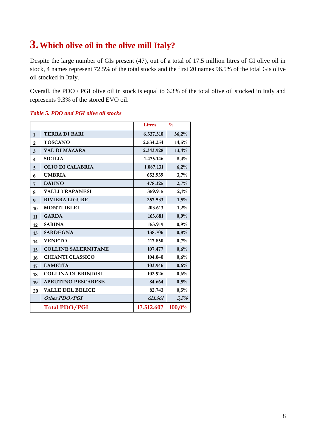## **3.Which olive oil in the olive mill Italy?**

Despite the large number of GIs present (47), out of a total of 17.5 million litres of GI olive oil in stock, 4 names represent 72.5% of the total stocks and the first 20 names 96.5% of the total GIs olive oil stocked in Italy.

Overall, the PDO / PGI olive oil in stock is equal to 6.3% of the total olive oil stocked in Italy and represents 9.3% of the stored EVO oil.

#### *Table 5. PDO and PGI olive oil stocks*

|                         |                            | <b>Litres</b> | $\frac{0}{0}$ |
|-------------------------|----------------------------|---------------|---------------|
| $\mathbf{1}$            | <b>TERRA DI BARI</b>       | 6.337.310     | 36,2%         |
| $\overline{2}$          | <b>TOSCANO</b>             | 2.534.254     | 14,5%         |
| 3                       | <b>VAL DI MAZARA</b>       | 2.343.928     | 13,4%         |
| $\overline{\mathbf{4}}$ | <b>SICILIA</b>             | 1.475.146     | 8,4%          |
| 5                       | <b>OLIO DI CALABRIA</b>    | 1.087.131     | 6,2%          |
| 6                       | <b>UMBRIA</b>              | 653.939       | 3,7%          |
| 7                       | <b>DAUNO</b>               | 478.325       | 2,7%          |
| 8                       | <b>VALLI TRAPANESI</b>     | 359.915       | 2,1%          |
| 9                       | <b>RIVIERA LIGURE</b>      | 257.533       | 1,5%          |
| 10                      | <b>MONTI IBLEI</b>         | 203.613       | 1,2%          |
| 11                      | <b>GARDA</b>               | 163.681       | 0,9%          |
| 12                      | <b>SABINA</b>              | 153.919       | 0,9%          |
| 13                      | <b>SARDEGNA</b>            | 138.706       | 0,8%          |
| 14                      | <b>VENETO</b>              | 117.850       | 0,7%          |
| 15                      | <b>COLLINE SALERNITANE</b> | 107.477       | 0,6%          |
| 16                      | <b>CHIANTI CLASSICO</b>    | 104.040       | 0,6%          |
| 17                      | <b>LAMETIA</b>             | 103.946       | 0,6%          |
| 18                      | <b>COLLINA DI BRINDISI</b> | 102.926       | 0,6%          |
| 19                      | <b>APRUTINO PESCARESE</b>  | 84.664        | 0,5%          |
| 20                      | <b>VALLE DEL BELICE</b>    | 82.743        | 0,5%          |
|                         | Other PDO/PGI              | 621.561       | 3,5%          |
|                         | <b>Total PDO/PGI</b>       | 17.512.607    | 100,0%        |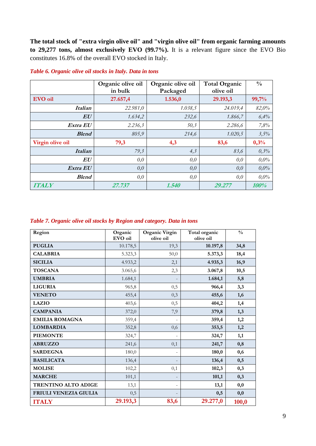**The total stock of "extra virgin olive oil" and "virgin olive oil" from organic farming amounts to 29,277 tons, almost exclusively EVO (99.7%).** It is a relevant figure since the EVO Bio constitutes 16.8% of the overall EVO stocked in Italy.

|                  | Organic olive oil<br>in bulk | Organic olive oil<br>Packaged | <b>Total Organic</b><br>olive oil | $\frac{0}{0}$ |
|------------------|------------------------------|-------------------------------|-----------------------------------|---------------|
| EVO oil          | 27.657,4                     | 1.536,0                       | 29.193,3                          | 99,7%         |
| <b>Italian</b>   | 22.981,0                     | 1.038,5                       | 24.019,4                          | 82,0%         |
| EU               | 1.634,2                      | 232,6                         | 1.866,7                           | 6,4%          |
| Extra EU         | 2.236,3                      | 50,3                          | 2.286,6                           | 7,8%          |
| <b>Blend</b>     | 805,9                        | 214,6                         | 1.020,5                           | 3,5%          |
| Virgin olive oil | 79,3                         | 4,3                           | 83,6                              | 0,3%          |
| <b>Italian</b>   | 79,3                         | 4,3                           | 83,6                              | 0,3%          |
| ${\bm E}{\bm U}$ | 0,0                          | 0,0                           | 0,0                               | $0.0\%$       |
| Extra EU         | 0,0                          | 0,0                           | 0,0                               | $0.0\%$       |
| <b>Blend</b>     | 0,0                          | 0,0                           | 0,0                               | $0.0\%$       |
| <b>ITALY</b>     | 27.737                       | 1.540                         | 29.277                            | 100%          |

#### *Table 6. Organic olive oil stocks in Italy. Data in tons*

|  |  |  | Table 7. Organic olive oil stocks by Region and category. Data in tons |  |
|--|--|--|------------------------------------------------------------------------|--|
|  |  |  |                                                                        |  |

| Region                     | Organic<br>EVO oil | Organic Virgin<br>olive oil | Total organic<br>olive oil | $\frac{0}{0}$ |
|----------------------------|--------------------|-----------------------------|----------------------------|---------------|
| <b>PUGLIA</b>              | 10.178,5           | 19,3                        | 10.197,8                   | 34,8          |
| <b>CALABRIA</b>            | 5.323,3            | 50,0                        | 5.373,3                    | 18,4          |
| <b>SICILIA</b>             | 4.933,2            | 2,1                         | 4.935,3                    | 16,9          |
| <b>TOSCANA</b>             | 3.065,6            | 2,3                         | 3.067,8                    | 10,5          |
| <b>UMBRIA</b>              | 1.684,1            |                             | 1.684,1                    | 5,8           |
| <b>LIGURIA</b>             | 965,8              | 0,5                         | 966,4                      | 3,3           |
| <b>VENETO</b>              | 455,4              | 0,3                         | 455,6                      | 1,6           |
| <b>LAZIO</b>               | 403,6              | 0,5                         | 404,2                      | 1,4           |
| <b>CAMPANIA</b>            | 372,0              | 7,9                         | 379,8                      | 1,3           |
| <b>EMILIA ROMAGNA</b>      | 359,4              |                             | 359,4                      | 1,2           |
| <b>LOMBARDIA</b>           | 352,8              | 0,6                         | 353,5                      | 1,2           |
| <b>PIEMONTE</b>            | 324,7              | $\overline{\phantom{a}}$    | 324,7                      | 1,1           |
| <b>ABRUZZO</b>             | 241,6              | 0,1                         | 241,7                      | 0,8           |
| <b>SARDEGNA</b>            | 180,0              | $\overline{\phantom{a}}$    | 180,0                      | 0,6           |
| <b>BASILICATA</b>          | 136,4              | $\overline{\phantom{a}}$    | 136,4                      | 0,5           |
| <b>MOLISE</b>              | 102,2              | 0,1                         | 102,3                      | 0,3           |
| <b>MARCHE</b>              | 101,1              | $\overline{\phantom{a}}$    | 101,1                      | 0,3           |
| <b>TRENTINO ALTO ADIGE</b> | 13,1               | $\overline{\phantom{a}}$    | 13,1                       | 0,0           |
| FRIULI VENEZIA GIULIA      | 0,5                |                             | 0,5                        | 0,0           |
| <b>ITALY</b>               | 29.193,3           | 83,6                        | 29.277,0                   | 100,0         |